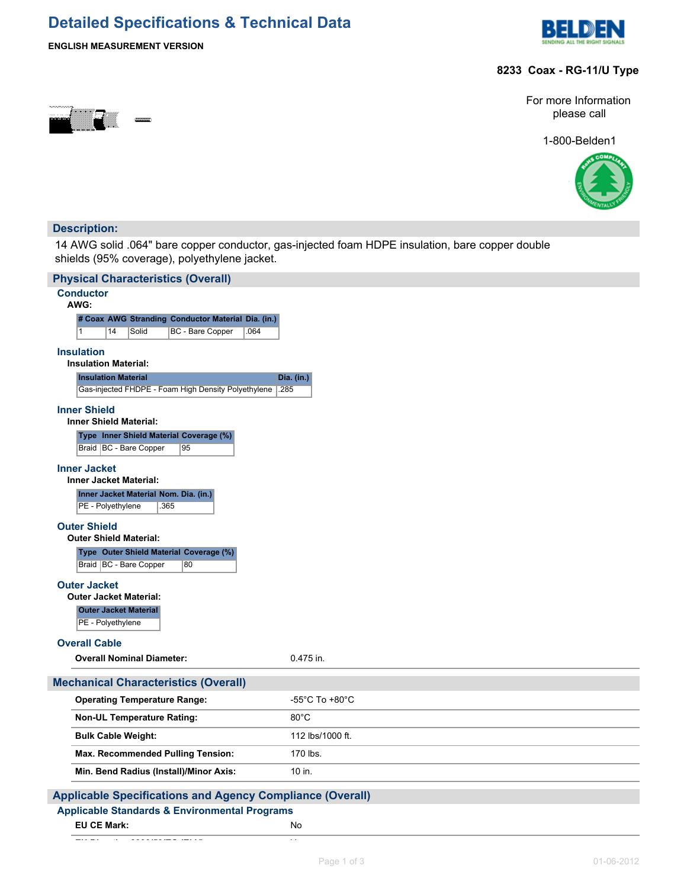## **Detailed Specifications & Technical Data**



## **ENGLISH MEASUREMENT VERSION**

## **8233 Coax - RG-11/U Type**



For more Information please call

1-800-Belden1



## **Description:**

14 AWG solid .064" bare copper conductor, gas-injected foam HDPE insulation, bare copper double shields (95% coverage), polyethylene jacket.

| <b>Physical Characteristics (Overall)</b>                                 |                  |
|---------------------------------------------------------------------------|------------------|
| <b>Conductor</b><br>AWG:                                                  |                  |
| # Coax AWG Stranding Conductor Material Dia. (in.)                        |                  |
| 1<br>14<br>Solid<br>BC - Bare Copper<br>.064                              |                  |
| <b>Insulation</b>                                                         |                  |
| <b>Insulation Material:</b>                                               |                  |
| <b>Insulation Material</b>                                                | Dia. (in.)       |
| Gas-injected FHDPE - Foam High Density Polyethylene<br>.285               |                  |
| <b>Inner Shield</b><br><b>Inner Shield Material:</b>                      |                  |
| Type Inner Shield Material Coverage (%)                                   |                  |
| Braid   BC - Bare Copper<br>95                                            |                  |
| <b>Inner Jacket</b>                                                       |                  |
| <b>Inner Jacket Material:</b>                                             |                  |
| Inner Jacket Material Nom. Dia. (in.)<br>PE - Polyethylene<br>365         |                  |
| <b>Outer Shield</b>                                                       |                  |
| <b>Outer Shield Material:</b>                                             |                  |
| Type Outer Shield Material Coverage (%)<br>Braid   BC - Bare Copper<br>80 |                  |
| <b>Outer Jacket</b>                                                       |                  |
| <b>Outer Jacket Material:</b>                                             |                  |
| <b>Outer Jacket Material</b><br>PE - Polyethylene                         |                  |
| <b>Overall Cable</b>                                                      |                  |
| <b>Overall Nominal Diameter:</b>                                          | 0.475 in.        |
| <b>Mechanical Characteristics (Overall)</b>                               |                  |
| <b>Operating Temperature Range:</b>                                       | -55°C To +80°C   |
| <b>Non-UL Temperature Rating:</b>                                         | $80^{\circ}$ C   |
| <b>Bulk Cable Weight:</b>                                                 | 112 lbs/1000 ft. |
| Max. Recommended Pulling Tension:                                         | 170 lbs.         |
| Min. Bend Radius (Install)/Minor Axis:                                    | 10 in.           |
| <b>Applicable Specifications and Agency Compliance (Overall)</b>          |                  |

## **Applicable Standards & Environmental Programs**

**EU CE Mark:** No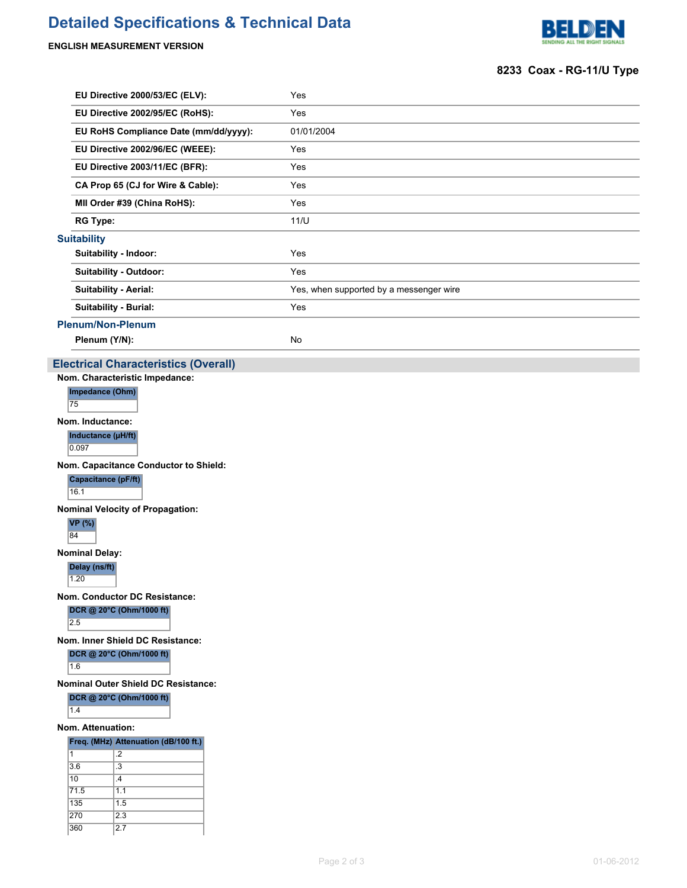# **Detailed Specifications & Technical Data**

## **ENGLISH MEASUREMENT VERSION**



## **8233 Coax - RG-11/U Type**

| EU Directive 2000/53/EC (ELV):              | Yes                                     |
|---------------------------------------------|-----------------------------------------|
| EU Directive 2002/95/EC (RoHS):             | Yes                                     |
| EU RoHS Compliance Date (mm/dd/yyyy):       | 01/01/2004                              |
| EU Directive 2002/96/EC (WEEE):             | Yes                                     |
| EU Directive 2003/11/EC (BFR):              | Yes                                     |
| CA Prop 65 (CJ for Wire & Cable):           | Yes                                     |
| MII Order #39 (China RoHS):                 | Yes                                     |
| <b>RG Type:</b>                             | 11/U                                    |
| <b>Suitability</b>                          |                                         |
| Suitability - Indoor:                       | Yes                                     |
| <b>Suitability - Outdoor:</b>               | Yes                                     |
| <b>Suitability - Aerial:</b>                | Yes, when supported by a messenger wire |
| <b>Suitability - Burial:</b>                | Yes                                     |
| <b>Plenum/Non-Plenum</b>                    |                                         |
| Plenum (Y/N):                               | No                                      |
| <b>Electrical Characteristics (Overall)</b> |                                         |
| Nom. Characteristic Impedance:              |                                         |

**Impedance (Ohm)**

75 **Nom. Inductance:**

**Inductance (µH/ft)**

 $0.097$ 

**Nom. Capacitance Conductor to Shield:**

**Capacitance (pF/ft)**

16.1

**Nominal Velocity of Propagation:**

**VP (%)**

84

**Nominal Delay:**

**Delay (ns/ft)**  $1.20$ 

**Nom. Conductor DC Resistance:**

**DCR @ 20°C (Ohm/1000 ft)** 2.5

**Nom. Inner Shield DC Resistance:**

## **DCR @ 20°C (Ohm/1000 ft)**

1.6

**Nominal Outer Shield DC Resistance:**

## **DCR @ 20°C (Ohm/1000 ft)**

 $\overline{1.4}$ 

**Nom. Attenuation:**

#### **Freq. (MHz) Attenuation (dB/100 ft.)**

| 1    | .2            |
|------|---------------|
| 3.6  | .3            |
| 10   | $\mathcal{A}$ |
| 71.5 | 1.1           |
| 135  | 1.5           |
| 270  | 2.3           |
| 360  | 2.7           |